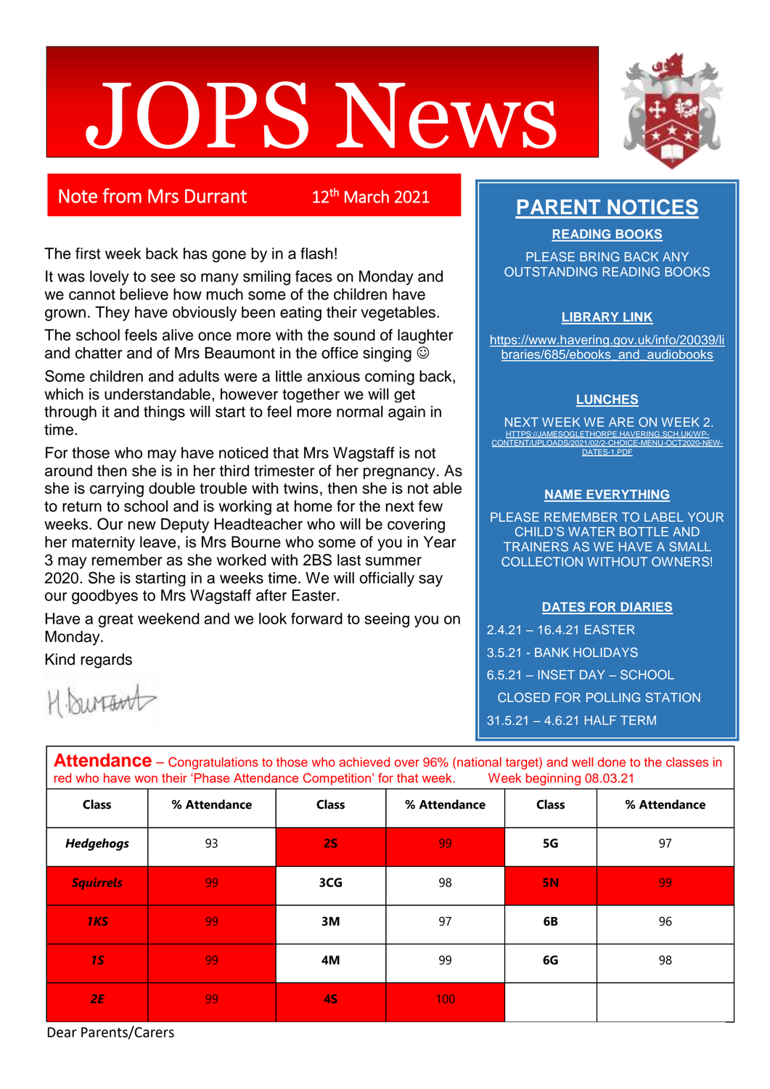# **OPS News**



## Note from Mrs Durrant

12<sup>th</sup> March 2021

The first week back has gone by in a flash!

It was lovely to see so many smiling faces on Monday and we cannot believe how much some of the children have grown. They have obviously been eating their vegetables.

The school feels alive once more with the sound of laughter and chatter and of Mrs Beaumont in the office singing  $\odot$ 

Some children and adults were a little anxious coming back, which is understandable, however together we will get through it and things will start to feel more normal again in time.

For those who may have noticed that Mrs Wagstaff is not around then she is in her third trimester of her pregnancy. As she is carrying double trouble with twins, then she is not able to return to school and is working at home for the next few weeks. Our new Deputy Headteacher who will be covering her maternity leave, is Mrs Bourne who some of you in Year 3 may remember as she worked with 2BS last summer 2020. She is starting in a weeks time. We will officially say our goodbyes to Mrs Wagstaff after Easter.

Have a great weekend and we look forward to seeing you on Monday.

*2E* 99 **4S** 100

Kind regards

*<u>Murawt</u>* 

# **PARENT NOTICES**

**READING BOOKS**

PLEASE BRING BACK ANY OUTSTANDING READING BOOKS

#### **LIBRARY LINK**

[https://www.havering.gov.uk/info/20039/li](https://www.havering.gov.uk/info/20039/libraries/685/ebooks_and_audiobooks) braries/685/ebooks and audiobooks

#### **LUNCHES**

NEXT WEEK WE ARE ON WEEK 2. HTTPS://JAMESOGLETHORPE.HAVERING.SCH.UK/WI CONTENT/UPLOAD [DATES-1.PDF](https://jamesoglethorpe.havering.sch.uk/wp-content/uploads/2021/02/2-choice-menu-OCT2020-new-dates-1.pdf)

#### **NAME EVERYTHING**

PLEASE REMEMBER TO LABEL YOUR CHILD'S WATER BOTTLE AND TRAINERS AS WE HAVE A SMALL COLLECTION WITHOUT OWNERS!

#### **DATES FOR DIARIES**

2.4.21 – 16.4.21 EASTER 3.5.21 - BANK HOLIDAYS 6.5.21 – INSET DAY – SCHOOL CLOSED FOR POLLING STATION 31.5.21 – 4.6.21 HALF TERM

| <b>THESTIMMTISS</b> CONGIGIORODIS to those who domeved over 50% (national target) and wen done to the oldstop in<br>red who have won their 'Phase Attendance Competition' for that week.<br>Week beginning 08.03.21 |              |              |              |              |              |
|---------------------------------------------------------------------------------------------------------------------------------------------------------------------------------------------------------------------|--------------|--------------|--------------|--------------|--------------|
| <b>Class</b>                                                                                                                                                                                                        | % Attendance | <b>Class</b> | % Attendance | <b>Class</b> | % Attendance |
| <b>Hedgehogs</b>                                                                                                                                                                                                    | 93           | <b>2S</b>    | 99           | 5G           | 97           |
| <b>Squirrels</b>                                                                                                                                                                                                    | 99           | 3CG          | 98           | 5N           | 99           |
| <b>1KS</b>                                                                                                                                                                                                          | 99           | 3M           | 97           | 6B           | 96           |
| <b>15</b>                                                                                                                                                                                                           | 99           | 4M           | 99           | 6G           | 98           |

**Attendance** – Congratulations to those who achieved over 96% (national target) and well done to the classes in

Dear Parents/Carers